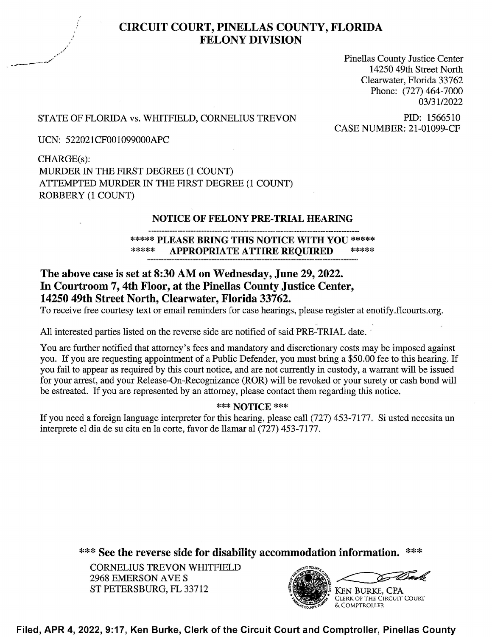

# CIRCUIT COURT, PINELLAS COUNTY, FLORIDA FELONY DIVISION

Pinellas County Justice Center 14250 49th Street North Clearwater, Florida 33762 Phone: (727) 464-7000 03/3 1/2022

## STATE OF FLORIDA vs. WHITFIELD, CORNELIUS TREVON PID: 1566510<br>CASE NUMBER: 21-01099-CF

UCN: 522021CF001099000APC

CHARGE(s): MURDER 1N THE FIRST DEGREE (1 COUNT) ATTEMPTED MURDER IN THE FIRST DEGREE (1 COUNT) ROBBERY (1 COUNT)

#### NOTICE OF FELONY PRE-TRIAL HEARING

#### \*\*\*\*\* PLEASE BRING THIS NOTICE WITH YOU \*\*\*\*\* APPROPRIATE ATTIRE REQUIRED

### The above case is set at 8:30 AM 0n Wednesday, June 29, 2022. In Courtroom 7, 4th Floor, at the Pinellas County Justice Center, 14250 49th Street North, Clearwater, Florida 33762.

To receive free courtesy text or email reminders for case hearings, please register at enotify.flcourts.org.

A11 interested parties listed on the reverse side are notified of said PRE—TRIAL date.

You are further notified that attorney's fees and mandatory and discretionary costs may be imposed against you. If you are requesting appointment of a Public Defender, you must bring a \$50.00 fee to this hearing. If you fail to appear as required by this court notice, and are not currently in custody, a warrant will be issued for your arrest, and your Release-On-Recognizance (ROR) will be revoked or your surety or cash bond will be estreated. If you are represented by an attorney, please contact them regarding this notice.

#### \*\*\* NOTICE \*\*\*

If you need a foreign language interpreter for this hearing, please call (727) 453-7177. Si usted necesita un interprete el dia de su cita en 1a corte, favor de llamar a1 (727) 453—7177.

\*\*\* See the reverse side for disability accommodation information. \*\*\*

CORNELIUS TREVON WHITFIELD 2968 EMERSON AVE ST PETERSBURG, FL 33712 **EXAMPLE AREA** KEN BURKE, CPA



CLERK 0F THE CIRCUIT COURT & COMPTROLLER

Filed, APR 4, 2022, 9:17, Ken Burke, Clerk of the Circuit Court and Comptroller, Pinellas County